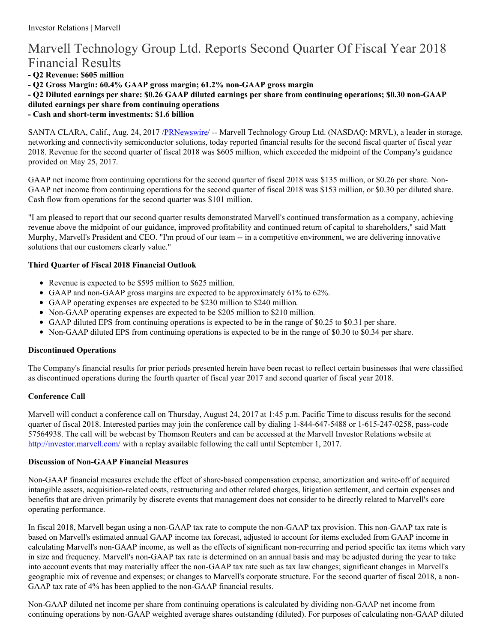# Marvell Technology Group Ltd. Reports Second Quarter Of Fiscal Year 2018 Financial Results

**- Q2 Revenue: \$605 million**

**- Q2 Gross Margin: 60.4% GAAP gross margin; 61.2% non-GAAP gross margin**

- Q2 Diluted earnings per share: \$0.26 GAAP diluted earnings per share from continuing operations; \$0.30 non-GAAP

**diluted earnings per share from continuing operations**

**- Cash and short-term investments: \$1.6 billion**

SANTA CLARA, Calif., Aug. 24, 2017 [/PRNewswire](http://www.prnewswire.com/)/ -- Marvell Technology Group Ltd. (NASDAQ: MRVL), a leader in storage, networking and connectivity semiconductor solutions, today reported financial results for the second fiscal quarter of fiscal year 2018. Revenue for the second quarter of fiscal 2018 was \$605 million, which exceeded the midpoint of the Company's guidance provided on May 25, 2017.

GAAP net income from continuing operations for the second quarter of fiscal 2018 was \$135 million, or \$0.26 per share. Non-GAAP net income from continuing operations for the second quarter of fiscal 2018 was \$153 million, or \$0.30 per diluted share. Cash flow from operations for the second quarter was \$101 million.

"I am pleased to report that our second quarter results demonstrated Marvell's continued transformation as a company, achieving revenue above the midpoint of our guidance, improved profitability and continued return of capital to shareholders," said Matt Murphy, Marvell's President and CEO. "I'm proud of our team -- in a competitive environment, we are delivering innovative solutions that our customers clearly value."

### **Third Quarter of Fiscal 2018 Financial Outlook**

- Revenue is expected to be \$595 million to \$625 million.
- GAAP and non-GAAP gross margins are expected to be approximately 61% to 62%.
- GAAP operating expenses are expected to be \$230 million to \$240 million.
- Non-GAAP operating expenses are expected to be \$205 million to \$210 million.
- GAAP diluted EPS from continuing operations is expected to be in the range of \$0.25 to \$0.31 per share.
- Non-GAAP diluted EPS from continuing operations is expected to be in the range of \$0.30 to \$0.34 per share.

### **Discontinued Operations**

The Company's financial results for prior periods presented herein have been recast to reflect certain businesses that were classified as discontinued operations during the fourth quarter of fiscal year 2017 and second quarter of fiscal year 2018.

## **Conference Call**

Marvell will conduct a conference call on Thursday, August 24, 2017 at 1:45 p.m. Pacific Time to discuss results for the second quarter of fiscal 2018. Interested parties may join the conference call by dialing 1-844-647-5488 or 1-615-247-0258, pass-code 57564938. The call will be webcast by Thomson Reuters and can be accessed at the Marvell Investor Relations website at <http://investor.marvell.com/> with a replay available following the call until September 1, 2017.

### **Discussion of Non-GAAP Financial Measures**

Non-GAAP financial measures exclude the effect of share-based compensation expense, amortization and write-off of acquired intangible assets, acquisition-related costs, restructuring and other related charges, litigation settlement, and certain expenses and benefits that are driven primarily by discrete events that management does not consider to be directly related to Marvell's core operating performance.

In fiscal 2018, Marvell began using a non-GAAP tax rate to compute the non-GAAP tax provision. This non-GAAP tax rate is based on Marvell's estimated annual GAAP income tax forecast, adjusted to account for items excluded from GAAP income in calculating Marvell's non-GAAP income, as well as the effects of significant non-recurring and period specific tax items which vary in size and frequency. Marvell's non-GAAP tax rate is determined on an annual basis and may be adjusted during the year to take into account events that may materially affect the non-GAAP tax rate such as tax law changes; significant changes in Marvell's geographic mix of revenue and expenses; or changes to Marvell's corporate structure. For the second quarter of fiscal 2018, a non-GAAP tax rate of 4% has been applied to the non-GAAP financial results.

Non-GAAP diluted net income per share from continuing operations is calculated by dividing non-GAAP net income from continuing operations by non-GAAP weighted average shares outstanding (diluted). For purposes of calculating non-GAAP diluted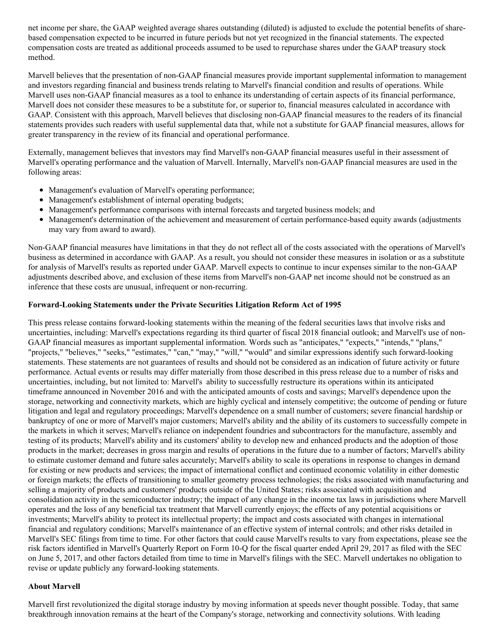net income per share, the GAAP weighted average shares outstanding (diluted) is adjusted to exclude the potential benefits of sharebased compensation expected to be incurred in future periods but not yet recognized in the financial statements. The expected compensation costs are treated as additional proceeds assumed to be used to repurchase shares under the GAAP treasury stock method.

Marvell believes that the presentation of non-GAAP financial measures provide important supplemental information to management and investors regarding financial and business trends relating to Marvell's financial condition and results of operations. While Marvell uses non-GAAP financial measures as a tool to enhance its understanding of certain aspects of its financial performance, Marvell does not consider these measures to be a substitute for, or superior to, financial measures calculated in accordance with GAAP. Consistent with this approach, Marvell believes that disclosing non-GAAP financial measures to the readers of its financial statements provides such readers with useful supplemental data that, while not a substitute for GAAP financial measures, allows for greater transparency in the review of its financial and operational performance.

Externally, management believes that investors may find Marvell's non-GAAP financial measures useful in their assessment of Marvell's operating performance and the valuation of Marvell. Internally, Marvell's non-GAAP financial measures are used in the following areas:

- Management's evaluation of Marvell's operating performance;
- Management's establishment of internal operating budgets;
- Management's performance comparisons with internal forecasts and targeted business models; and
- Management's determination of the achievement and measurement of certain performance-based equity awards (adjustments may vary from award to award).

Non-GAAP financial measures have limitations in that they do not reflect all of the costs associated with the operations of Marvell's business as determined in accordance with GAAP. As a result, you should not consider these measures in isolation or as a substitute for analysis of Marvell's results as reported under GAAP. Marvell expects to continue to incur expenses similar to the non-GAAP adjustments described above, and exclusion of these items from Marvell's non-GAAP net income should not be construed as an inference that these costs are unusual, infrequent or non-recurring.

#### **Forward-Looking Statements under the Private Securities Litigation Reform Act of 1995**

This press release contains forward-looking statements within the meaning of the federal securities laws that involve risks and uncertainties, including: Marvell's expectations regarding its third quarter of fiscal 2018 financial outlook; and Marvell's use of non-GAAP financial measures as important supplemental information. Words such as "anticipates," "expects," "intends," "plans," "projects," "believes," "seeks," "estimates," "can," "may," "will," "would" and similar expressions identify such forward-looking statements. These statements are not guarantees of results and should not be considered as an indication of future activity or future performance. Actual events or results may differ materially from those described in this press release due to a number of risks and uncertainties, including, but not limited to: Marvell's ability to successfully restructure its operations within its anticipated timeframe announced in November 2016 and with the anticipated amounts of costs and savings; Marvell's dependence upon the storage, networking and connectivity markets, which are highly cyclical and intensely competitive; the outcome of pending or future litigation and legal and regulatory proceedings; Marvell's dependence on a small number of customers; severe financial hardship or bankruptcy of one or more of Marvell's major customers; Marvell's ability and the ability of its customers to successfully compete in the markets in which it serves; Marvell's reliance on independent foundries and subcontractors for the manufacture, assembly and testing of its products; Marvell's ability and its customers' ability to develop new and enhanced products and the adoption of those products in the market; decreases in gross margin and results of operations in the future due to a number of factors; Marvell's ability to estimate customer demand and future sales accurately; Marvell's ability to scale its operations in response to changes in demand for existing or new products and services; the impact of international conflict and continued economic volatility in either domestic or foreign markets; the effects of transitioning to smaller geometry process technologies; the risks associated with manufacturing and selling a majority of products and customers' products outside of the United States; risks associated with acquisition and consolidation activity in the semiconductor industry; the impact of any change in the income tax laws in jurisdictions where Marvell operates and the loss of any beneficial tax treatment that Marvell currently enjoys; the effects of any potential acquisitions or investments; Marvell's ability to protect its intellectual property; the impact and costs associated with changes in international financial and regulatory conditions; Marvell's maintenance of an effective system of internal controls; and other risks detailed in Marvell's SEC filings from time to time. For other factors that could cause Marvell's results to vary from expectations, please see the risk factors identified in Marvell's Quarterly Report on Form 10-Q for the fiscal quarter ended April 29, 2017 as filed with the SEC on June 5, 2017, and other factors detailed from time to time in Marvell's filings with the SEC. Marvell undertakes no obligation to revise or update publicly any forward-looking statements.

#### **About Marvell**

Marvell first revolutionized the digital storage industry by moving information at speeds never thought possible. Today, that same breakthrough innovation remains at the heart of the Company's storage, networking and connectivity solutions. With leading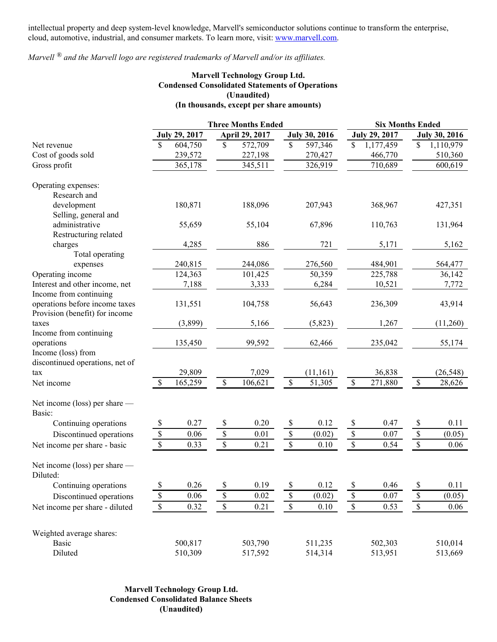intellectual property and deep system-level knowledge, Marvell's semiconductor solutions continue to transform the enterprise, cloud, automotive, industrial, and consumer markets. To learn more, visit: [www.marvell.com](http://www.marvell.com).

# *Marvell ® and the Marvell logo are registered trademarks of Marvell and/or its af iliates.*

### **Marvell Technology Group Ltd. Condensed Consolidated Statements of Operations (Unaudited) (In thousands, except per share amounts)**

|                                 | <b>Three Months Ended</b> |                      |               |                |             |                      | <b>Six Months Ended</b>  |                      |              |                      |
|---------------------------------|---------------------------|----------------------|---------------|----------------|-------------|----------------------|--------------------------|----------------------|--------------|----------------------|
|                                 |                           | <b>July 29, 2017</b> |               | April 29, 2017 |             | <b>July 30, 2016</b> |                          | <b>July 29, 2017</b> |              | <b>July 30, 2016</b> |
| Net revenue                     | \$                        | 604,750              | \$            | 572,709        | \$          | 597,346              | \$                       | 1,177,459            | \$           | 1,110,979            |
| Cost of goods sold              |                           | 239,572              |               | 227,198        |             | 270,427              |                          | 466,770              |              | 510,360              |
| Gross profit                    |                           | 365,178              |               | 345,511        |             | 326,919              |                          | 710,689              |              | 600,619              |
| Operating expenses:             |                           |                      |               |                |             |                      |                          |                      |              |                      |
| Research and                    |                           |                      |               |                |             |                      |                          |                      |              |                      |
| development                     |                           | 180,871              |               | 188,096        |             | 207,943              |                          | 368,967              |              | 427,351              |
| Selling, general and            |                           |                      |               |                |             |                      |                          |                      |              |                      |
| administrative                  |                           | 55,659               |               | 55,104         |             | 67,896               |                          | 110,763              |              | 131,964              |
| Restructuring related           |                           |                      |               |                |             |                      |                          |                      |              |                      |
| charges                         |                           | 4,285                |               | 886            |             | 721                  |                          | 5,171                |              | 5,162                |
| Total operating                 |                           |                      |               |                |             |                      |                          |                      |              |                      |
| expenses                        |                           | 240,815              |               | 244,086        |             | 276,560              |                          | 484,901              |              | 564,477              |
| Operating income                |                           | 124,363              |               | 101,425        |             | 50,359               |                          | 225,788              |              | 36,142               |
| Interest and other income, net  |                           | 7,188                |               | 3,333          |             | 6,284                |                          | 10,521               |              | 7,772                |
| Income from continuing          |                           |                      |               |                |             |                      |                          |                      |              |                      |
| operations before income taxes  |                           | 131,551              |               | 104,758        |             | 56,643               |                          | 236,309              |              | 43,914               |
| Provision (benefit) for income  |                           |                      |               |                |             |                      |                          |                      |              |                      |
| taxes                           |                           | (3,899)              |               | 5,166          |             | (5,823)              |                          | 1,267                |              | (11,260)             |
| Income from continuing          |                           |                      |               |                |             |                      |                          |                      |              |                      |
| operations                      |                           | 135,450              |               | 99,592         |             | 62,466               |                          | 235,042              |              | 55,174               |
| Income (loss) from              |                           |                      |               |                |             |                      |                          |                      |              |                      |
| discontinued operations, net of |                           |                      |               |                |             |                      |                          |                      |              |                      |
| tax                             |                           | 29,809               |               | 7,029          |             | (11,161)             |                          | 36,838               |              | (26, 548)            |
| Net income                      | $\mathbb{S}$              | 165,259              | $\mathsf{\$}$ | 106,621        | \$          | 51,305               | $\mathsf{\$}$            | 271,880              | $\mathbb S$  | 28,626               |
| Net income (loss) per share $-$ |                           |                      |               |                |             |                      |                          |                      |              |                      |
| Basic:                          |                           |                      |               |                |             |                      |                          |                      |              |                      |
| Continuing operations           | \$                        | 0.27                 | \$            | 0.20           | $\$$        | 0.12                 | \$                       | 0.47                 | \$           | 0.11                 |
| Discontinued operations         | $\sqrt{\frac{2}{n}}$      | 0.06                 | $\mathbb{S}$  | 0.01           | $\$$        | (0.02)               | $\overline{\mathcal{S}}$ | 0.07                 | $\mathbb S$  | (0.05)               |
| Net income per share - basic    | $\mathbb S$               | 0.33                 | $\mathbb{S}$  | 0.21           | $\$$        | 0.10                 | $\mathbb S$              | 0.54                 | $\mathbb S$  | 0.06                 |
| Net income (loss) per share —   |                           |                      |               |                |             |                      |                          |                      |              |                      |
| Diluted:                        |                           |                      |               |                |             |                      |                          |                      |              |                      |
| Continuing operations           | \$                        | 0.26                 | \$            | 0.19           | \$          | 0.12                 | \$                       | 0.46                 | \$           | 0.11                 |
| Discontinued operations         | \$                        | 0.06                 | \$            | 0.02           | \$          | (0.02)               | $\mathbb S$              | 0.07                 | $\mathbb S$  | (0.05)               |
| Net income per share - diluted  | $\overline{\mathcal{S}}$  | 0.32                 | $\mathbb S$   | 0.21           | $\mathbb S$ | 0.10                 | $\sqrt{\frac{2}{3}}$     | 0.53                 | $\mathbb{S}$ | 0.06                 |
| Weighted average shares:        |                           |                      |               |                |             |                      |                          |                      |              |                      |
| <b>Basic</b>                    |                           | 500,817              |               | 503,790        |             | 511,235              |                          | 502,303              |              | 510,014              |
| Diluted                         |                           | 510,309              |               | 517,592        |             | 514,314              |                          | 513,951              |              | 513,669              |

**Marvell Technology Group Ltd. Condensed Consolidated Balance Sheets (Unaudited)**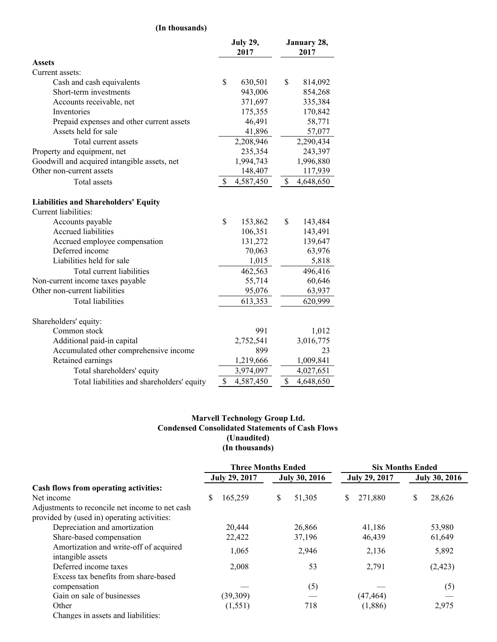### **(In thousands)**

|                                                                     |              | <b>July 29,</b><br>2017 |               | January 28,<br>2017 |  |  |
|---------------------------------------------------------------------|--------------|-------------------------|---------------|---------------------|--|--|
| <b>Assets</b>                                                       |              |                         |               |                     |  |  |
| Current assets:                                                     |              |                         |               |                     |  |  |
| Cash and cash equivalents                                           | \$           | 630,501                 | \$            | 814,092             |  |  |
| Short-term investments                                              |              | 943,006                 |               | 854,268             |  |  |
| Accounts receivable, net                                            |              | 371,697                 |               | 335,384             |  |  |
| Inventories                                                         |              | 175,355                 |               | 170,842             |  |  |
| Prepaid expenses and other current assets                           |              | 46,491                  |               | 58,771              |  |  |
| Assets held for sale                                                |              | 41,896                  |               | 57,077              |  |  |
| Total current assets                                                |              | 2,208,946               |               | 2,290,434           |  |  |
| Property and equipment, net                                         |              | 235,354                 |               | 243,397             |  |  |
| Goodwill and acquired intangible assets, net                        |              | 1,994,743               |               | 1,996,880           |  |  |
| Other non-current assets                                            |              | 148,407                 |               | 117,939             |  |  |
| <b>Total</b> assets                                                 | $\mathbb{S}$ | 4,587,450               | $\mathcal{S}$ | 4,648,650           |  |  |
| <b>Liabilities and Shareholders' Equity</b><br>Current liabilities: |              |                         |               |                     |  |  |
| Accounts payable                                                    | \$           | 153,862                 | \$            | 143,484             |  |  |
| Accrued liabilities                                                 |              | 106,351                 |               | 143,491             |  |  |
| Accrued employee compensation                                       |              | 131,272                 |               | 139,647             |  |  |
| Deferred income                                                     |              | 70,063                  |               | 63,976              |  |  |
| Liabilities held for sale                                           |              | 1,015                   |               | 5,818               |  |  |
| Total current liabilities                                           |              | 462,563                 |               | 496,416             |  |  |
| Non-current income taxes payable                                    |              | 55,714                  |               | 60,646              |  |  |
| Other non-current liabilities                                       |              | 95,076                  |               | 63,937              |  |  |
| Total liabilities                                                   |              | 613,353                 |               | 620,999             |  |  |
| Shareholders' equity:                                               |              |                         |               |                     |  |  |
| Common stock                                                        |              | 991                     |               | 1,012               |  |  |
| Additional paid-in capital                                          |              | 2,752,541               |               | 3,016,775           |  |  |
| Accumulated other comprehensive income                              |              | 899                     |               | 23                  |  |  |
| Retained earnings                                                   |              | 1,219,666               |               | 1,009,841           |  |  |
| Total shareholders' equity                                          |              | 3,974,097               |               | 4,027,651           |  |  |
| Total liabilities and shareholders' equity                          | \$           | 4,587,450               | \$            | 4,648,650           |  |  |

### **Marvell Technology Group Ltd. Condensed Consolidated Statements of Cash Flows (Unaudited) (In thousands)**

|                                                 | <b>Three Months Ended</b> |               |    | <b>Six Months Ended</b> |                      |           |                      |          |
|-------------------------------------------------|---------------------------|---------------|----|-------------------------|----------------------|-----------|----------------------|----------|
|                                                 |                           | July 29, 2017 |    | <b>July 30, 2016</b>    | <b>July 29, 2017</b> |           | <b>July 30, 2016</b> |          |
| Cash flows from operating activities:           |                           |               |    |                         |                      |           |                      |          |
| Net income                                      | \$                        | 165,259       | \$ | 51,305                  | <sup>\$</sup>        | 271,880   | \$                   | 28,626   |
| Adjustments to reconcile net income to net cash |                           |               |    |                         |                      |           |                      |          |
| provided by (used in) operating activities:     |                           |               |    |                         |                      |           |                      |          |
| Depreciation and amortization                   |                           | 20,444        |    | 26,866                  |                      | 41,186    |                      | 53,980   |
| Share-based compensation                        |                           | 22,422        |    | 37,196                  |                      | 46,439    |                      | 61,649   |
| Amortization and write-off of acquired          |                           | 1,065         |    | 2,946                   |                      | 2,136     |                      | 5,892    |
| intangible assets                               |                           |               |    |                         |                      |           |                      |          |
| Deferred income taxes                           |                           | 2,008         |    | 53                      |                      | 2,791     |                      | (2, 423) |
| Excess tax benefits from share-based            |                           |               |    |                         |                      |           |                      |          |
| compensation                                    |                           |               |    | (5)                     |                      |           |                      | (5)      |
| Gain on sale of businesses                      |                           | (39,309)      |    |                         |                      | (47, 464) |                      |          |
| Other                                           |                           | (1, 551)      |    | 718                     |                      | (1,886)   |                      | 2,975    |
| Changes in assets and liabilities:              |                           |               |    |                         |                      |           |                      |          |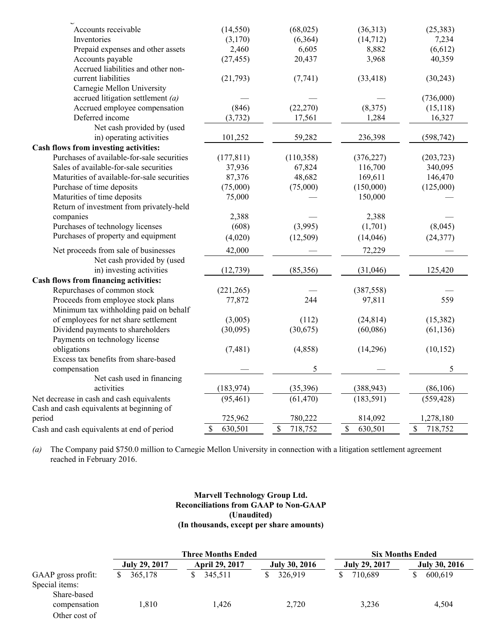| Accounts receivable                         | (14, 550)       | (68,025)                | (36,313)      | (25, 383)                |
|---------------------------------------------|-----------------|-------------------------|---------------|--------------------------|
| Inventories                                 | (3,170)         | (6,364)                 | (14, 712)     | 7,234                    |
| Prepaid expenses and other assets           | 2,460           | 6,605                   | 8,882         | (6,612)                  |
| Accounts payable                            | (27, 455)       | 20,437                  | 3,968         | 40,359                   |
| Accrued liabilities and other non-          |                 |                         |               |                          |
| current liabilities                         | (21,793)        | (7, 741)                | (33, 418)     | (30,243)                 |
| Carnegie Mellon University                  |                 |                         |               |                          |
| accrued litigation settlement $(a)$         |                 |                         |               | (736,000)                |
| Accrued employee compensation               | (846)           | (22, 270)               | (8,375)       | (15, 118)                |
| Deferred income                             | (3,732)         | 17,561                  | 1,284         | 16,327                   |
| Net cash provided by (used                  |                 |                         |               |                          |
| in) operating activities                    | 101,252         | 59,282                  | 236,398       | (598, 742)               |
| Cash flows from investing activities:       |                 |                         |               |                          |
| Purchases of available-for-sale securities  | (177, 811)      | (110, 358)              | (376, 227)    | (203, 723)               |
| Sales of available-for-sale securities      | 37,936          | 67,824                  | 116,700       | 340,095                  |
| Maturities of available-for-sale securities | 87,376          | 48,682                  | 169,611       | 146,470                  |
| Purchase of time deposits                   | (75,000)        | (75,000)                | (150,000)     | (125,000)                |
| Maturities of time deposits                 | 75,000          |                         | 150,000       |                          |
| Return of investment from privately-held    |                 |                         |               |                          |
| companies                                   | 2,388           |                         | 2,388         |                          |
| Purchases of technology licenses            | (608)           | (3,995)                 | (1,701)       | (8,045)                  |
| Purchases of property and equipment         | (4,020)         | (12,509)                | (14,046)      | (24, 377)                |
| Net proceeds from sale of businesses        | 42,000          |                         | 72,229        |                          |
| Net cash provided by (used                  |                 |                         |               |                          |
| in) investing activities                    | (12, 739)       | (85,356)                | (31,046)      | 125,420                  |
| Cash flows from financing activities:       |                 |                         |               |                          |
| Repurchases of common stock                 | (221, 265)      |                         | (387, 558)    |                          |
| Proceeds from employee stock plans          | 77,872          | 244                     | 97,811        | 559                      |
| Minimum tax withholding paid on behalf      |                 |                         |               |                          |
| of employees for net share settlement       | (3,005)         | (112)                   | (24, 814)     | (15,382)                 |
| Dividend payments to shareholders           | (30,095)        | (30,675)                | (60,086)      | (61, 136)                |
| Payments on technology license              |                 |                         |               |                          |
| obligations                                 | (7, 481)        | (4,858)                 | (14,296)      | (10, 152)                |
| Excess tax benefits from share-based        |                 |                         |               |                          |
| compensation                                |                 | 5                       |               | 5                        |
| Net cash used in financing                  |                 |                         |               |                          |
| activities                                  | (183, 974)      | (35,396)                | (388, 943)    | (86,106)                 |
| Net decrease in cash and cash equivalents   | (95, 461)       | (61, 470)               | (183, 591)    | (559, 428)               |
| Cash and cash equivalents at beginning of   |                 |                         |               |                          |
| period                                      | 725,962         | 780,222                 | 814,092       | 1,278,180                |
| Cash and cash equivalents at end of period  | $\$$<br>630,501 | $\mathbb{S}$<br>718,752 | \$<br>630,501 | $\mathsf{\$}$<br>718,752 |

*(a)* The Company paid \$750.0 million to Carnegie Mellon University in connection with a litigation settlement agreement reached in February 2016.

### **Marvell Technology Group Ltd. Reconciliations from GAAP to Non-GAAP (Unaudited) (In thousands, except per share amounts)**

|                                      |                      | <b>Three Months Ended</b> | <b>Six Months Ended</b> |               |                      |  |  |
|--------------------------------------|----------------------|---------------------------|-------------------------|---------------|----------------------|--|--|
|                                      | <b>July 29, 2017</b> | <b>April 29, 2017</b>     | <b>July 30, 2016</b>    | July 29, 2017 | <b>July 30, 2016</b> |  |  |
| GAAP gross profit:<br>Special items: | 365,178              | 345,511                   | 326.919                 | 710.689       | 600,619              |  |  |
| Share-based<br>compensation          | l.810                | 1.426                     | 2,720                   | 3,236         | 4.504                |  |  |
| Other cost of                        |                      |                           |                         |               |                      |  |  |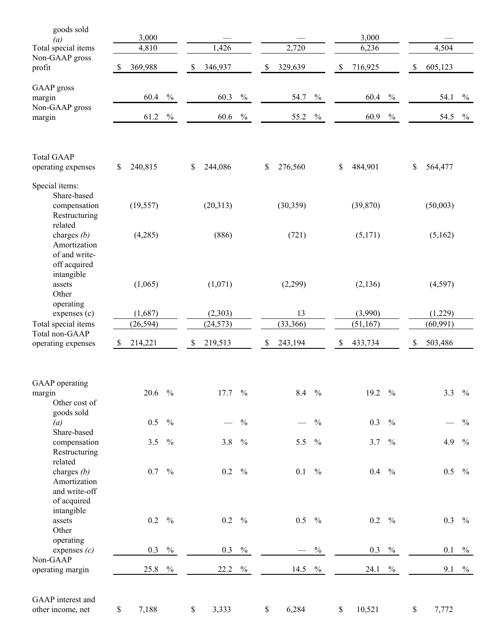| goods sold<br>(a)<br>Total special items                                     |              | 3,000<br>4,810 |               | 1,426         |               | 2,720            |               |      | 3,000<br>6,236 |               | 4,504         |               |
|------------------------------------------------------------------------------|--------------|----------------|---------------|---------------|---------------|------------------|---------------|------|----------------|---------------|---------------|---------------|
| Non-GAAP gross                                                               |              |                |               |               |               |                  |               |      |                |               |               |               |
| profit                                                                       | <sup>S</sup> | 369,988        |               | \$<br>346,937 |               | \$<br>329,639    |               | \$   | 716,925        |               | \$<br>605,123 |               |
| <b>GAAP</b> gross<br>margin<br>Non-GAAP gross                                |              | 60.4           | $\frac{0}{0}$ | 60.3          | $\frac{0}{0}$ | 54.7             | $\frac{0}{0}$ |      | 60.4           | $\frac{0}{0}$ | 54.1          | $\frac{0}{0}$ |
| margin                                                                       |              | 61.2           | $\frac{0}{0}$ | 60.6          | $\frac{0}{0}$ | 55.2             | $\frac{0}{0}$ |      | 60.9           | $\frac{0}{0}$ | 54.5          | $\frac{0}{0}$ |
| <b>Total GAAP</b><br>operating expenses                                      | \$           | 240,815        |               | \$<br>244,086 |               | \$<br>276,560    |               | \$   | 484,901        |               | \$<br>564,477 |               |
| Special items:<br>Share-based                                                |              |                |               |               |               |                  |               |      |                |               |               |               |
| compensation<br>Restructuring<br>related                                     |              | (19, 557)      |               | (20,313)      |               | (30, 359)        |               |      | (39, 870)      |               | (50,003)      |               |
| charges $(b)$<br>Amortization<br>of and write-<br>off acquired<br>intangible |              | (4,285)        |               | (886)         |               | (721)            |               |      | (5,171)        |               | (5,162)       |               |
| assets<br>Other<br>operating                                                 |              | (1,065)        |               | (1,071)       |               | (2,299)          |               |      | (2, 136)       |               | (4,597)       |               |
| expenses (c)                                                                 |              | (1,687)        |               | (2,303)       |               | 13               |               |      | (3,990)        |               | (1,229)       |               |
| Total special items<br>Total non-GAAP                                        |              | (26, 594)      |               | (24, 573)     |               | (33, 366)        |               |      | (51, 167)      |               | (60, 991)     |               |
| operating expenses                                                           | \$           | 214,221        |               | \$<br>219,513 |               | \$<br>243,194    |               | $\$$ | 433,734        |               | \$<br>503,486 |               |
| GAAP operating<br>margin<br>Other cost of                                    |              | 20.6           | $\frac{0}{0}$ | 17.7          | $\frac{0}{0}$ | $8.4\frac{9}{6}$ |               |      | 19.2           | $\frac{0}{0}$ | 3.3           | $\frac{0}{0}$ |
| goods sold<br>(a)                                                            |              | 0.5            | $\frac{0}{0}$ |               | $\frac{0}{0}$ |                  | $\frac{0}{0}$ |      | 0.3            | $\frac{0}{0}$ |               | $\frac{0}{0}$ |
| Share-based<br>compensation<br>Restructuring                                 |              | 3.5            | $\frac{0}{0}$ | 3.8           | $\frac{0}{0}$ | 5.5              | $\frac{0}{0}$ |      | 3.7            | $\frac{0}{0}$ | 4.9           | $\frac{0}{0}$ |
| related<br>charges $(b)$<br>Amortization<br>and write-off<br>of acquired     |              | 0.7            | $\frac{0}{0}$ | 0.2           | $\frac{0}{0}$ | 0.1              | $\frac{0}{0}$ |      | $0.4\,$        | $\frac{0}{0}$ | $0.5\,$       | $\frac{0}{0}$ |
| intangible<br>assets<br>Other                                                |              | 0.2            | $\frac{0}{0}$ | 0.2           | $\frac{0}{0}$ | $0.5 \t%$        |               |      | $0.2\,$        | $\frac{0}{0}$ | 0.3           | $\frac{0}{0}$ |
| operating<br>expenses $(c)$                                                  |              | 0.3            | $\frac{0}{0}$ | 0.3           | $\frac{0}{0}$ |                  | $\%$          |      | 0.3            | $\%$          | 0.1           | $\frac{0}{0}$ |
| Non-GAAP<br>operating margin                                                 |              | 25.8           | $\frac{0}{0}$ | 22.2          | $\frac{0}{0}$ | 14.5             | $\%$          |      | 24.1           | $\frac{0}{0}$ | 9.1           | $\%$          |
| GAAP interest and<br>other income, net                                       | \$           | 7,188          |               | \$<br>3,333   |               | \$<br>6,284      |               | \$   | 10,521         |               | \$<br>7,772   |               |

O th e r c o s t o f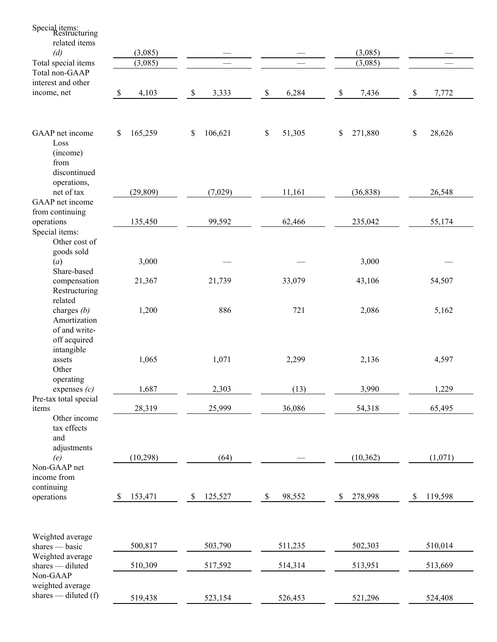| Special items:<br>Restructuring         |                         |               |                       |               |                       |
|-----------------------------------------|-------------------------|---------------|-----------------------|---------------|-----------------------|
| related items                           |                         |               |                       |               |                       |
| (d)                                     | (3,085)                 |               |                       | (3,085)       |                       |
| Total special items                     | (3,085)                 |               |                       | (3,085)       |                       |
| Total non-GAAP                          |                         |               |                       |               |                       |
| interest and other                      |                         |               |                       |               |                       |
| income, net                             | 4,103<br>$\mathbb{S}$   | 3,333<br>\$   | 6,284<br>$\$$         | $\$$<br>7,436 | 7,772<br>\$           |
|                                         |                         |               |                       |               |                       |
|                                         |                         |               |                       |               |                       |
| GAAP net income                         | 165,259<br>\$           | \$<br>106,621 | $\mathbb S$<br>51,305 | 271,880<br>\$ | $\mathbb S$<br>28,626 |
| Loss                                    |                         |               |                       |               |                       |
| (income)<br>from                        |                         |               |                       |               |                       |
| discontinued                            |                         |               |                       |               |                       |
| operations,                             |                         |               |                       |               |                       |
| net of tax                              | (29, 809)               | (7,029)       | 11,161                | (36, 838)     | 26,548                |
| GAAP net income                         |                         |               |                       |               |                       |
| from continuing                         | 135,450                 | 99,592        | 62,466                | 235,042       | 55,174                |
| operations<br>Special items:            |                         |               |                       |               |                       |
| Other cost of                           |                         |               |                       |               |                       |
| goods sold                              |                         |               |                       |               |                       |
| (a)                                     | 3,000                   |               |                       | 3,000         |                       |
| Share-based<br>compensation             | 21,367                  | 21,739        | 33,079                | 43,106        | 54,507                |
| Restructuring                           |                         |               |                       |               |                       |
| related                                 |                         |               |                       |               |                       |
| charges $(b)$                           | 1,200                   | 886           | 721                   | 2,086         | 5,162                 |
| Amortization                            |                         |               |                       |               |                       |
| of and write-<br>off acquired           |                         |               |                       |               |                       |
| intangible                              |                         |               |                       |               |                       |
| assets                                  | 1,065                   | 1,071         | 2,299                 | 2,136         | 4,597                 |
| Other                                   |                         |               |                       |               |                       |
| operating                               |                         |               |                       |               |                       |
| expenses $(c)$<br>Pre-tax total special | 1,687                   | 2,303         | (13)                  | 3,990         | 1,229                 |
| items                                   | 28,319                  | 25,999        | 36,086                | 54,318        | 65,495                |
| Other income                            |                         |               |                       |               |                       |
| tax effects                             |                         |               |                       |               |                       |
| and<br>adjustments                      |                         |               |                       |               |                       |
| (e)                                     | (10, 298)               | (64)          |                       | (10, 362)     | (1,071)               |
| Non-GAAP net                            |                         |               |                       |               |                       |
| income from                             |                         |               |                       |               |                       |
| continuing                              |                         |               |                       |               |                       |
| operations                              | 153,471<br>$\mathbb{S}$ | 125,527<br>\$ | 98,552<br>\$          | 278,998<br>\$ | 119,598<br>\$         |
|                                         |                         |               |                       |               |                       |
|                                         |                         |               |                       |               |                       |
| Weighted average                        |                         |               |                       |               |                       |
| shares — basic                          | 500,817                 | 503,790       | 511,235               | 502,303       | 510,014               |
| Weighted average<br>shares - diluted    | 510,309                 | 517,592       | 514,314               | 513,951       | 513,669               |
| Non-GAAP                                |                         |               |                       |               |                       |
| weighted average                        |                         |               |                       |               |                       |
| shares — diluted $(f)$                  | 519,438                 | 523,154       | 526,453               | 521,296       | 524,408               |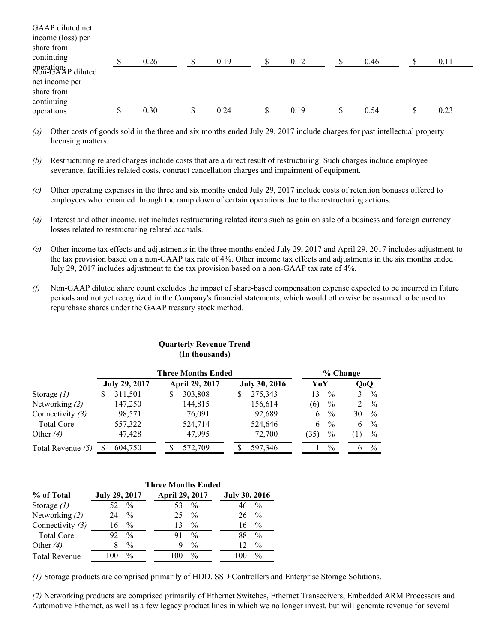| GAAP diluted net<br>income (loss) per                                        |   |      |      |      |      |      |  |
|------------------------------------------------------------------------------|---|------|------|------|------|------|--|
| share from<br>continuing                                                     | ¢ | 0.26 | 0.19 | 0.12 | 0.46 | 0.11 |  |
| operations<br>Non-GAAP diluted<br>net income per<br>share from<br>continuing |   |      |      |      |      |      |  |
| operations                                                                   |   | 0.30 | 0.24 | 0.19 | 0.54 | 0.23 |  |

- *(a)* Other costs of goods sold in the three and six months ended July 29, 2017 include charges for past intellectual property licensing matters.
- *(b)* Restructuring related charges include costs that are a direct result of restructuring. Such charges include employee severance, facilities related costs, contract cancellation charges and impairment of equipment.
- *(c)* Other operating expenses in the three and six months ended July 29, 2017 include costs of retention bonuses offered to employees who remained through the ramp down of certain operations due to the restructuring actions.
- *(d)* Interest and other income, net includes restructuring related items such as gain on sale of a business and foreign currency losses related to restructuring related accruals.
- *(e)* Other income tax effects and adjustments in the three months ended July 29, 2017 and April 29, 2017 includes adjustment to the tax provision based on a non-GAAP tax rate of 4%. Other income tax effects and adjustments in the six months ended July 29, 2017 includes adjustment to the tax provision based on a non-GAAP tax rate of 4%.
- *(f)* Non-GAAP diluted share count excludes the impact of share-based compensation expense expected to be incurred in future periods and not yet recognized in the Company's financial statements, which would otherwise be assumed to be used to repurchase shares under the GAAP treasury stock method.

|                    |                      |   | <b>Three Months Ended</b> |   |                      |      | $%$ Change |     |               |
|--------------------|----------------------|---|---------------------------|---|----------------------|------|------------|-----|---------------|
|                    | <b>July 29, 2017</b> |   | <b>April 29, 2017</b>     |   | <b>July 30, 2016</b> | YoY  |            | QoQ |               |
| Storage $(1)$      | 311,501              | S | 303,808                   | S | 275,343              | 13   | $\%$       |     | $\frac{0}{0}$ |
| Networking (2)     | 147,250              |   | 144,815                   |   | 156,614              | (6)  | $\%$       | 2   | $\frac{0}{0}$ |
| Connectivity $(3)$ | 98,571               |   | 76,091                    |   | 92,689               | 6    | $\%$       | 30  | $\frac{0}{0}$ |
| <b>Total Core</b>  | 557,322              |   | 524,714                   |   | 524,646              | 6    | $\%$       | 6   | $\frac{0}{0}$ |
| Other $(4)$        | 47,428               |   | 47.995                    |   | 72,700               | (35) | $\%$       |     | $\%$          |
| Total Revenue (5)  | 604,750              |   | 572,709                   |   | 597.346              |      | $\%$       | 6   | $\frac{0}{0}$ |

### **Quarterly Revenue Trend (In thousands)**

|                      | <b>Three Months Ended</b> |                     |                      |  |  |  |  |  |  |  |
|----------------------|---------------------------|---------------------|----------------------|--|--|--|--|--|--|--|
| % of Total           | <b>July 29, 2017</b>      | April 29, 2017      | <b>July 30, 2016</b> |  |  |  |  |  |  |  |
| Storage $(1)$        | $\frac{0}{0}$             | $\frac{0}{0}$<br>53 | $\frac{0}{0}$        |  |  |  |  |  |  |  |
| Networking (2)       | $\frac{0}{0}$<br>24       | $\frac{0}{0}$<br>25 | $\frac{0}{0}$<br>26  |  |  |  |  |  |  |  |
| Connectivity $(3)$   | $^{0}/_{0}$<br>16         | $\frac{0}{0}$<br>13 | $\frac{0}{0}$<br>16  |  |  |  |  |  |  |  |
| <b>Total Core</b>    | $\frac{0}{0}$<br>92       | $\frac{0}{0}$<br>91 | $\frac{0}{0}$<br>88  |  |  |  |  |  |  |  |
| Other $(4)$          | $\frac{0}{0}$             | $\frac{0}{0}$<br>9  | $\frac{0}{0}$<br>12  |  |  |  |  |  |  |  |
| <b>Total Revenue</b> | $\frac{0}{0}$             | $\frac{0}{0}$       | $\frac{0}{0}$<br>100 |  |  |  |  |  |  |  |

*(1)* Storage products are comprised primarily of HDD, SSD Controllers and Enterprise Storage Solutions.

*(2)* Networking products are comprised primarily of Ethernet Switches, Ethernet Transceivers, Embedded ARM Processors and Automotive Ethernet, as well as a few legacy product lines in which we no longer invest, but will generate revenue for several